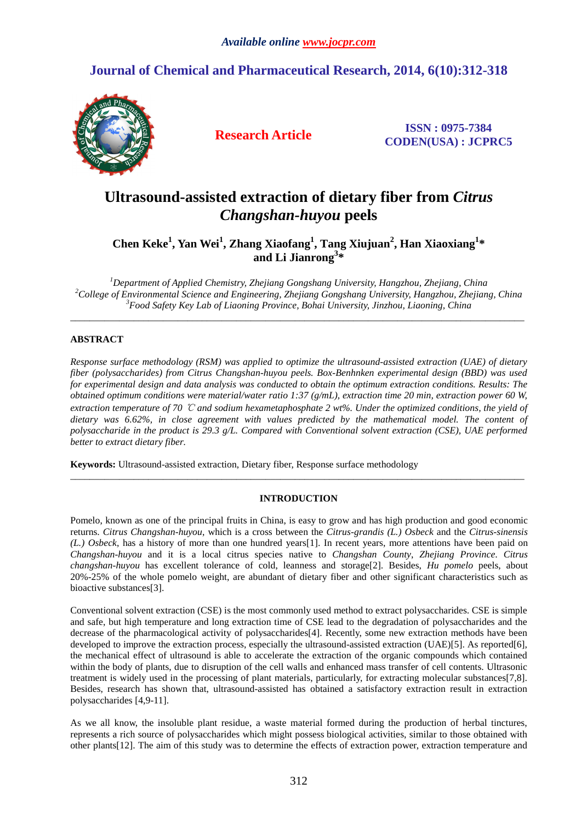# **Journal of Chemical and Pharmaceutical Research, 2014, 6(10):312-318**



**Research Article ISSN : 0975-7384 CODEN(USA) : JCPRC5**

# **Ultrasound-assisted extraction of dietary fiber from** *Citrus Changshan-huyou* **peels**

**Chen Keke<sup>1</sup> , Yan Wei<sup>1</sup> , Zhang Xiaofang<sup>1</sup> , Tang Xiujuan<sup>2</sup> , Han Xiaoxiang<sup>1</sup> \* and Li Jianrong<sup>3</sup> \*** 

*<sup>1</sup>Department of Applied Chemistry, Zhejiang Gongshang University, Hangzhou, Zhejiang, China <sup>2</sup>College of Environmental Science and Engineering, Zhejiang Gongshang University, Hangzhou, Zhejiang, China <sup>3</sup>Food Safety Key Lab of Liaoning Province, Bohai University, Jinzhou, Liaoning, China* 

 $\overline{a}$  , and the contribution of the contribution of the contribution of the contribution of the contribution of the contribution of the contribution of the contribution of the contribution of the contribution of the co

# **ABSTRACT**

*Response surface methodology (RSM) was applied to optimize the ultrasound-assisted extraction (UAE) of dietary fiber (polysaccharides) from Citrus Changshan-huyou peels. Box-Benhnken experimental design (BBD) was used for experimental design and data analysis was conducted to obtain the optimum extraction conditions. Results: The obtained optimum conditions were material/water ratio 1:37 (g/mL), extraction time 20 min, extraction power 60 W, extraction temperature of 70* ℃ *and sodium hexametaphosphate 2 wt%. Under the optimized conditions, the yield of dietary was 6.62%, in close agreement with values predicted by the mathematical model. The content of polysaccharide in the product is 29.3 g/L. Compared with Conventional solvent extraction (CSE), UAE performed better to extract dietary fiber.* 

**Keywords:** Ultrasound-assisted extraction, Dietary fiber, Response surface methodology

# **INTRODUCTION**

\_\_\_\_\_\_\_\_\_\_\_\_\_\_\_\_\_\_\_\_\_\_\_\_\_\_\_\_\_\_\_\_\_\_\_\_\_\_\_\_\_\_\_\_\_\_\_\_\_\_\_\_\_\_\_\_\_\_\_\_\_\_\_\_\_\_\_\_\_\_\_\_\_\_\_\_\_\_\_\_\_\_\_\_\_\_\_\_\_\_\_\_\_

Pomelo, known as one of the principal fruits in China, is easy to grow and has high production and good economic returns. *Citrus Changshan-huyou*, which is a cross between the *Citrus-grandis (L.) Osbeck* and the *Citrus-sinensis (L.) Osbeck*, has a history of more than one hundred years[1]. In recent years, more attentions have been paid on *Changshan-huyou* and it is a local citrus species native to *Changshan County*, *Zhejiang Province*. *Citrus changshan-huyou* has excellent tolerance of cold, leanness and storage[2]. Besides, *Hu pomelo* peels, about 20%-25% of the whole pomelo weight, are abundant of dietary fiber and other significant characteristics such as bioactive substances[3].

Conventional solvent extraction (CSE) is the most commonly used method to extract polysaccharides. CSE is simple and safe, but high temperature and long extraction time of CSE lead to the degradation of polysaccharides and the decrease of the pharmacological activity of polysaccharides[4]. Recently, some new extraction methods have been developed to improve the extraction process, especially the ultrasound-assisted extraction (UAE)[5]. As reported[6], the mechanical effect of ultrasound is able to accelerate the extraction of the organic compounds which contained within the body of plants, due to disruption of the cell walls and enhanced mass transfer of cell contents. Ultrasonic treatment is widely used in the processing of plant materials, particularly, for extracting molecular substances[7,8]. Besides, research has shown that, ultrasound-assisted has obtained a satisfactory extraction result in extraction polysaccharides [4,9-11].

As we all know, the insoluble plant residue, a waste material formed during the production of herbal tinctures, represents a rich source of polysaccharides which might possess biological activities, similar to those obtained with other plants[12]. The aim of this study was to determine the effects of extraction power, extraction temperature and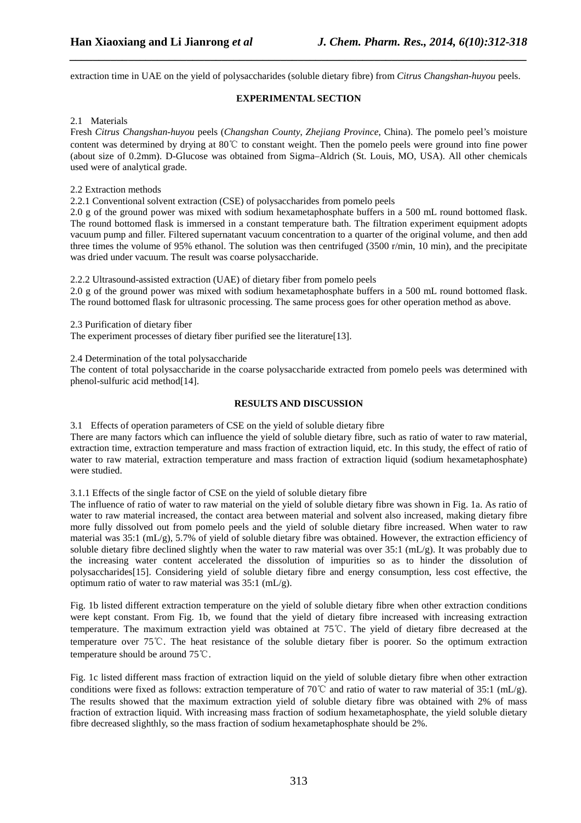extraction time in UAE on the yield of polysaccharides (soluble dietary fibre) from *Citrus Changshan-huyou* peels.

*\_\_\_\_\_\_\_\_\_\_\_\_\_\_\_\_\_\_\_\_\_\_\_\_\_\_\_\_\_\_\_\_\_\_\_\_\_\_\_\_\_\_\_\_\_\_\_\_\_\_\_\_\_\_\_\_\_\_\_\_\_\_\_\_\_\_\_\_\_\_\_\_\_\_\_\_\_\_*

## **EXPERIMENTAL SECTION**

## 2.1 Materials

Fresh *Citrus Changshan-huyou* peels (*Changshan County*, *Zhejiang Province*, China). The pomelo peel's moisture content was determined by drying at 80℃ to constant weight. Then the pomelo peels were ground into fine power (about size of 0.2mm). D-Glucose was obtained from Sigma–Aldrich (St. Louis, MO, USA). All other chemicals used were of analytical grade.

## 2.2 Extraction methods

2.2.1 Conventional solvent extraction (CSE) of polysaccharides from pomelo peels

2.0 g of the ground power was mixed with sodium hexametaphosphate buffers in a 500 mL round bottomed flask. The round bottomed flask is immersed in a constant temperature bath. The filtration experiment equipment adopts vacuum pump and filler. Filtered supernatant vacuum concentration to a quarter of the original volume, and then add three times the volume of 95% ethanol. The solution was then centrifuged (3500 r/min, 10 min), and the precipitate was dried under vacuum. The result was coarse polysaccharide.

2.2.2 Ultrasound-assisted extraction (UAE) of dietary fiber from pomelo peels

2.0 g of the ground power was mixed with sodium hexametaphosphate buffers in a 500 mL round bottomed flask. The round bottomed flask for ultrasonic processing. The same process goes for other operation method as above.

2.3 Purification of dietary fiber

The experiment processes of dietary fiber purified see the literature[13].

2.4 Determination of the total polysaccharide

The content of total polysaccharide in the coarse polysaccharide extracted from pomelo peels was determined with phenol-sulfuric acid method[14].

## **RESULTS AND DISCUSSION**

3.1 Effects of operation parameters of CSE on the yield of soluble dietary fibre

There are many factors which can influence the yield of soluble dietary fibre, such as ratio of water to raw material, extraction time, extraction temperature and mass fraction of extraction liquid, etc. In this study, the effect of ratio of water to raw material, extraction temperature and mass fraction of extraction liquid (sodium hexametaphosphate) were studied.

### 3.1.1 Effects of the single factor of CSE on the yield of soluble dietary fibre

The influence of ratio of water to raw material on the yield of soluble dietary fibre was shown in Fig. 1a. As ratio of water to raw material increased, the contact area between material and solvent also increased, making dietary fibre more fully dissolved out from pomelo peels and the yield of soluble dietary fibre increased. When water to raw material was 35:1 (mL/g), 5.7% of yield of soluble dietary fibre was obtained. However, the extraction efficiency of soluble dietary fibre declined slightly when the water to raw material was over 35:1 (mL/g). It was probably due to the increasing water content accelerated the dissolution of impurities so as to hinder the dissolution of polysaccharides[15]. Considering yield of soluble dietary fibre and energy consumption, less cost effective, the optimum ratio of water to raw material was 35:1 (mL/g).

Fig. 1b listed different extraction temperature on the yield of soluble dietary fibre when other extraction conditions were kept constant. From Fig. 1b, we found that the yield of dietary fibre increased with increasing extraction temperature. The maximum extraction yield was obtained at 75℃. The yield of dietary fibre decreased at the temperature over 75℃. The heat resistance of the soluble dietary fiber is poorer. So the optimum extraction temperature should be around 75℃.

Fig. 1c listed different mass fraction of extraction liquid on the yield of soluble dietary fibre when other extraction conditions were fixed as follows: extraction temperature of 70℃ and ratio of water to raw material of 35:1 (mL/g). The results showed that the maximum extraction yield of soluble dietary fibre was obtained with 2% of mass fraction of extraction liquid. With increasing mass fraction of sodium hexametaphosphate, the yield soluble dietary fibre decreased slighthly, so the mass fraction of sodium hexametaphosphate should be 2%.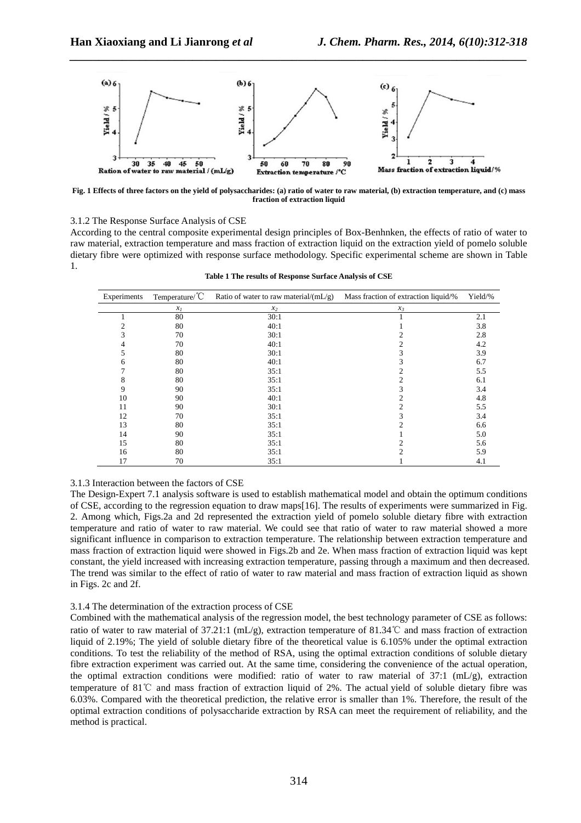

*\_\_\_\_\_\_\_\_\_\_\_\_\_\_\_\_\_\_\_\_\_\_\_\_\_\_\_\_\_\_\_\_\_\_\_\_\_\_\_\_\_\_\_\_\_\_\_\_\_\_\_\_\_\_\_\_\_\_\_\_\_\_\_\_\_\_\_\_\_\_\_\_\_\_\_\_\_\_*

**Fig. 1 Effects of three factors on the yield of polysaccharides: (a) ratio of water to raw material, (b) extraction temperature, and (c) mass fraction of extraction liquid** 

3.1.2 The Response Surface Analysis of CSE

According to the central composite experimental design principles of Box-Benhnken, the effects of ratio of water to raw material, extraction temperature and mass fraction of extraction liquid on the extraction yield of pomelo soluble dietary fibre were optimized with response surface methodology. Specific experimental scheme are shown in Table 1.

| Experiments | Temperature/ $\rm ^{o}C$ | Ratio of water to raw material/ $(mL/g)$ | Mass fraction of extraction liquid/% | Yield/% |
|-------------|--------------------------|------------------------------------------|--------------------------------------|---------|
|             | $x_I$                    | $x_2$                                    | $x_3$                                |         |
|             | 80                       | 30:1                                     |                                      | 2.1     |
|             | 80                       | 40:1                                     |                                      | 3.8     |
| 3           | 70                       | 30:1                                     |                                      | 2.8     |
|             | 70                       | 40:1                                     | 2                                    | 4.2     |
| C.          | 80                       | 30:1                                     | 3                                    | 3.9     |
| n           | 80                       | 40:1                                     |                                      | 6.7     |
|             | 80                       | 35:1                                     |                                      | 5.5     |
| 8           | 80                       | 35:1                                     |                                      | 6.1     |
| 9           | 90                       | 35:1                                     |                                      | 3.4     |
| 10          | 90                       | 40:1                                     |                                      | 4.8     |
| 11          | 90                       | 30:1                                     |                                      | 5.5     |
| 12          | 70                       | 35:1                                     |                                      | 3.4     |
| 13          | 80                       | 35:1                                     |                                      | 6.6     |
| 14          | 90                       | 35:1                                     |                                      | 5.0     |
| 15          | 80                       | 35:1                                     |                                      | 5.6     |
| 16          | 80                       | 35:1                                     | ◠                                    | 5.9     |
| 17          | 70                       | 35:1                                     |                                      | 4.1     |

**Table 1 The results of Response Surface Analysis of CSE** 

### 3.1.3 Interaction between the factors of CSE

The Design-Expert 7.1 analysis software is used to establish mathematical model and obtain the optimum conditions of CSE, according to the regression equation to draw maps[16]. The results of experiments were summarized in Fig. 2. Among which, Figs.2a and 2d represented the extraction yield of pomelo soluble dietary fibre with extraction temperature and ratio of water to raw material. We could see that ratio of water to raw material showed a more significant influence in comparison to extraction temperature. The relationship between extraction temperature and mass fraction of extraction liquid were showed in Figs.2b and 2e. When mass fraction of extraction liquid was kept constant, the yield increased with increasing extraction temperature, passing through a maximum and then decreased. The trend was similar to the effect of ratio of water to raw material and mass fraction of extraction liquid as shown in Figs. 2c and 2f.

#### 3.1.4 The determination of the extraction process of CSE

Combined with the mathematical analysis of the regression model, the best technology parameter of CSE as follows: ratio of water to raw material of 37.21:1 (mL/g), extraction temperature of 81.34℃ and mass fraction of extraction liquid of 2.19%; The yield of soluble dietary fibre of the theoretical value is 6.105% under the optimal extraction conditions. To test the reliability of the method of RSA, using the optimal extraction conditions of soluble dietary fibre extraction experiment was carried out. At the same time, considering the convenience of the actual operation, the optimal extraction conditions were modified: ratio of water to raw material of 37:1 (mL/g), extraction temperature of 81℃ and mass fraction of extraction liquid of 2%. The actual yield of soluble dietary fibre was 6.03%. Compared with the theoretical prediction, the relative error is smaller than 1%. Therefore, the result of the optimal extraction conditions of polysaccharide extraction by RSA can meet the requirement of reliability, and the method is practical.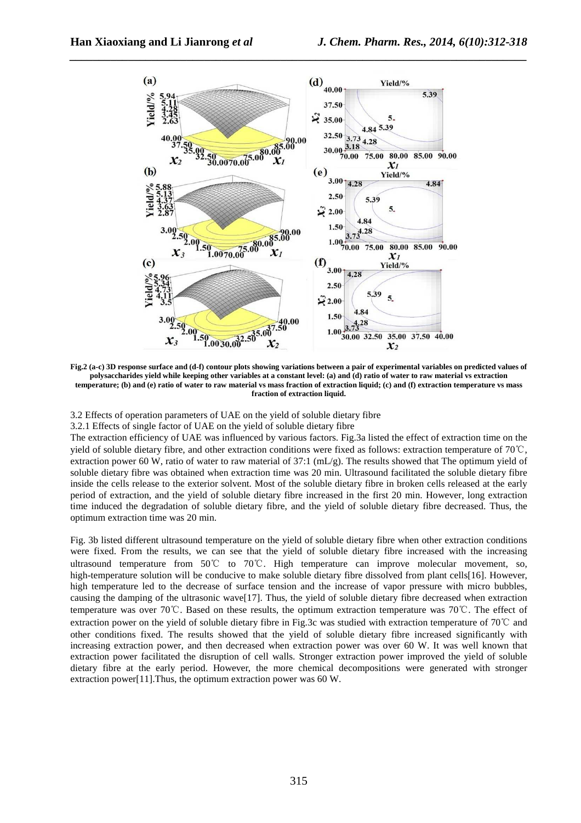

**Fig.2 (a-c) 3D response surface and (d-f) contour plots showing variations between a pair of experimental variables on predicted values of polysaccharides yield while keeping other variables at a constant level: (a) and (d) ratio of water to raw material vs extraction temperature; (b) and (e) ratio of water to raw material vs mass fraction of extraction liquid; (c) and (f) extraction temperature vs mass fraction of extraction liquid.** 

3.2 Effects of operation parameters of UAE on the yield of soluble dietary fibre

3.2.1 Effects of single factor of UAE on the yield of soluble dietary fibre

The extraction efficiency of UAE was influenced by various factors. Fig.3a listed the effect of extraction time on the yield of soluble dietary fibre, and other extraction conditions were fixed as follows: extraction temperature of 70℃, extraction power 60 W, ratio of water to raw material of 37:1 (mL/g). The results showed that The optimum yield of soluble dietary fibre was obtained when extraction time was 20 min. Ultrasound facilitated the soluble dietary fibre inside the cells release to the exterior solvent. Most of the soluble dietary fibre in broken cells released at the early period of extraction, and the yield of soluble dietary fibre increased in the first 20 min. However, long extraction time induced the degradation of soluble dietary fibre, and the yield of soluble dietary fibre decreased. Thus, the optimum extraction time was 20 min.

Fig. 3b listed different ultrasound temperature on the yield of soluble dietary fibre when other extraction conditions were fixed. From the results, we can see that the yield of soluble dietary fibre increased with the increasing ultrasound temperature from 50℃ to 70℃. High temperature can improve molecular movement, so, high-temperature solution will be conducive to make soluble dietary fibre dissolved from plant cells[16]. However, high temperature led to the decrease of surface tension and the increase of vapor pressure with micro bubbles, causing the damping of the ultrasonic wave[17]. Thus, the yield of soluble dietary fibre decreased when extraction temperature was over 70℃. Based on these results, the optimum extraction temperature was 70℃. The effect of extraction power on the yield of soluble dietary fibre in Fig.3c was studied with extraction temperature of 70℃ and other conditions fixed. The results showed that the yield of soluble dietary fibre increased significantly with increasing extraction power, and then decreased when extraction power was over 60 W. It was well known that extraction power facilitated the disruption of cell walls. Stronger extraction power improved the yield of soluble dietary fibre at the early period. However, the more chemical decompositions were generated with stronger extraction power[11].Thus, the optimum extraction power was 60 W.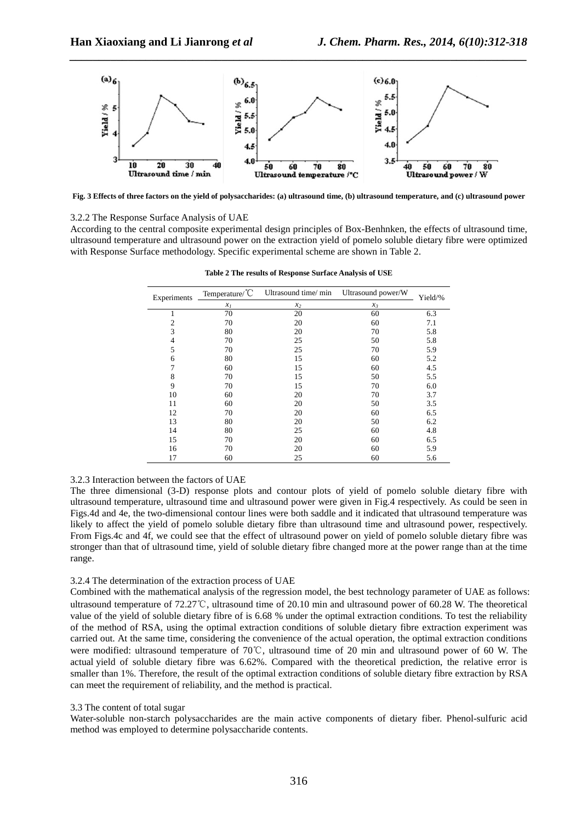

*\_\_\_\_\_\_\_\_\_\_\_\_\_\_\_\_\_\_\_\_\_\_\_\_\_\_\_\_\_\_\_\_\_\_\_\_\_\_\_\_\_\_\_\_\_\_\_\_\_\_\_\_\_\_\_\_\_\_\_\_\_\_\_\_\_\_\_\_\_\_\_\_\_\_\_\_\_\_*

**Fig. 3 Effects of three factors on the yield of polysaccharides: (a) ultrasound time, (b) ultrasound temperature, and (c) ultrasound power** 

### 3.2.2 The Response Surface Analysis of UAE

According to the central composite experimental design principles of Box-Benhnken, the effects of ultrasound time, ultrasound temperature and ultrasound power on the extraction yield of pomelo soluble dietary fibre were optimized with Response Surface methodology. Specific experimental scheme are shown in Table 2.

| Experiments | Temperature/°C | Ultrasound time/ min | Ultrasound power/W | Yield/% |  |
|-------------|----------------|----------------------|--------------------|---------|--|
|             | $x_I$          | $x_2$                | $x_3$              |         |  |
|             | 70             | 20                   | 60                 | 6.3     |  |
| 2           | 70             | 20                   | 60                 | 7.1     |  |
| 3           | 80             | 20                   | 70                 | 5.8     |  |
| 4           | 70             | 25                   | 50                 | 5.8     |  |
| 5           | 70             | 25                   | 70                 | 5.9     |  |
| 6           | 80             | 15                   | 60                 | 5.2     |  |
| 7           | 60             | 15                   | 60                 | 4.5     |  |
| 8           | 70             | 15                   | 50                 | 5.5     |  |
| 9           | 70             | 15                   | 70                 | 6.0     |  |
| 10          | 60             | 20                   | 70                 | 3.7     |  |
| 11          | 60             | 20                   | 50                 | 3.5     |  |
| 12          | 70             | 20                   | 60                 | 6.5     |  |
| 13          | 80             | 20                   | 50                 | 6.2     |  |
| 14          | 80             | 25                   | 60                 | 4.8     |  |
| 15          | 70             | 20                   | 60                 | 6.5     |  |
| 16          | 70             | 20                   | 60                 | 5.9     |  |
| 17          | 60             | 25                   | 60                 | 5.6     |  |

**Table 2 The results of Response Surface Analysis of USE** 

#### 3.2.3 Interaction between the factors of UAE

The three dimensional (3-D) response plots and contour plots of yield of pomelo soluble dietary fibre with ultrasound temperature, ultrasound time and ultrasound power were given in Fig.4 respectively. As could be seen in Figs.4d and 4e, the two-dimensional contour lines were both saddle and it indicated that ultrasound temperature was likely to affect the yield of pomelo soluble dietary fibre than ultrasound time and ultrasound power, respectively. From Figs.4c and 4f, we could see that the effect of ultrasound power on yield of pomelo soluble dietary fibre was stronger than that of ultrasound time, yield of soluble dietary fibre changed more at the power range than at the time range.

#### 3.2.4 The determination of the extraction process of UAE

Combined with the mathematical analysis of the regression model, the best technology parameter of UAE as follows: ultrasound temperature of 72.27℃, ultrasound time of 20.10 min and ultrasound power of 60.28 W. The theoretical value of the yield of soluble dietary fibre of is 6.68 % under the optimal extraction conditions. To test the reliability of the method of RSA, using the optimal extraction conditions of soluble dietary fibre extraction experiment was carried out. At the same time, considering the convenience of the actual operation, the optimal extraction conditions were modified: ultrasound temperature of 70℃, ultrasound time of 20 min and ultrasound power of 60 W. The actual yield of soluble dietary fibre was 6.62%. Compared with the theoretical prediction, the relative error is smaller than 1%. Therefore, the result of the optimal extraction conditions of soluble dietary fibre extraction by RSA can meet the requirement of reliability, and the method is practical.

#### 3.3 The content of total sugar

Water-soluble non-starch polysaccharides are the main active components of dietary fiber. Phenol-sulfuric acid method was employed to determine polysaccharide contents.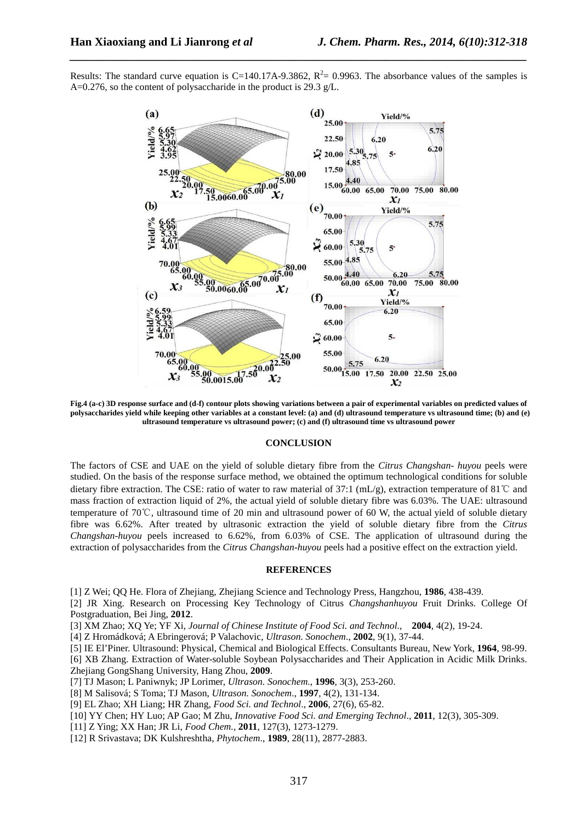Results: The standard curve equation is C=140.17A-9.3862,  $R^2$ = 0.9963. The absorbance values of the samples is A=0.276, so the content of polysaccharide in the product is 29.3 g/L.

*\_\_\_\_\_\_\_\_\_\_\_\_\_\_\_\_\_\_\_\_\_\_\_\_\_\_\_\_\_\_\_\_\_\_\_\_\_\_\_\_\_\_\_\_\_\_\_\_\_\_\_\_\_\_\_\_\_\_\_\_\_\_\_\_\_\_\_\_\_\_\_\_\_\_\_\_\_\_*



**Fig.4 (a-c) 3D response surface and (d-f) contour plots showing variations between a pair of experimental variables on predicted values of polysaccharides yield while keeping other variables at a constant level: (a) and (d) ultrasound temperature vs ultrasound time; (b) and (e) ultrasound temperature vs ultrasound power; (c) and (f) ultrasound time vs ultrasound power** 

#### **CONCLUSION**

The factors of CSE and UAE on the yield of soluble dietary fibre from the *Citrus Changshan- huyou* peels were studied. On the basis of the response surface method, we obtained the optimum technological conditions for soluble dietary fibre extraction. The CSE: ratio of water to raw material of 37:1 (mL/g), extraction temperature of 81℃ and mass fraction of extraction liquid of 2%, the actual yield of soluble dietary fibre was 6.03%. The UAE: ultrasound temperature of 70℃, ultrasound time of 20 min and ultrasound power of 60 W, the actual yield of soluble dietary fibre was 6.62%. After treated by ultrasonic extraction the yield of soluble dietary fibre from the *Citrus Changshan-huyou* peels increased to 6.62%, from 6.03% of CSE. The application of ultrasound during the extraction of polysaccharides from the *Citrus Changshan-huyou* peels had a positive effect on the extraction yield.

### **REFERENCES**

[1] Z Wei; QQ He. Flora of Zhejiang, Zhejiang Science and Technology Press, Hangzhou, **1986**, 438-439.

[2] JR Xing. Research on Processing Key Technology of Citrus *Changshanhuyou* Fruit Drinks. College Of Postgraduation, Bei Jing, **2012**.

[3] XM Zhao; XQ Ye; YF Xi, *Journal of Chinese Institute of Food Sci. and Technol*., **2004**, 4(2), 19-24.

[4] Z Hromádková; A Ebringerová; P Valachovic, *Ultrason. Sonochem*., **2002**, 9(1), 37-44.

[5] IE El'Piner. Ultrasound: Physical, Chemical and Biological Effects. Consultants Bureau, New York, **1964**, 98-99.

[6] XB Zhang. Extraction of Water-soluble Soybean Polysaccharides and Their Application in Acidic Milk Drinks. Zhejiang GongShang University, Hang Zhou, **2009**.

- [7] TJ Mason; L Paniwnyk; JP Lorimer, *Ultrason. Sonochem*., **1996**, 3(3), 253-260.
- [8] M Salisová; S Toma; TJ Mason, *Ultrason. Sonochem*., **1997**, 4(2), 131-134.
- [9] EL Zhao; XH Liang; HR Zhang, *Food Sci. and Technol*., **2006**, 27(6), 65-82.
- [10] YY Chen; HY Luo; AP Gao; M Zhu, *Innovative Food Sci. and Emerging Technol*., **2011**, 12(3), 305-309.
- [11] Z Ying; XX Han; JR Li, *Food Chem.,* **2011**, 127(3), 1273-1279.
- [12] R Srivastava; DK Kulshreshtha, *Phytochem*., **1989**, 28(11), 2877-2883.